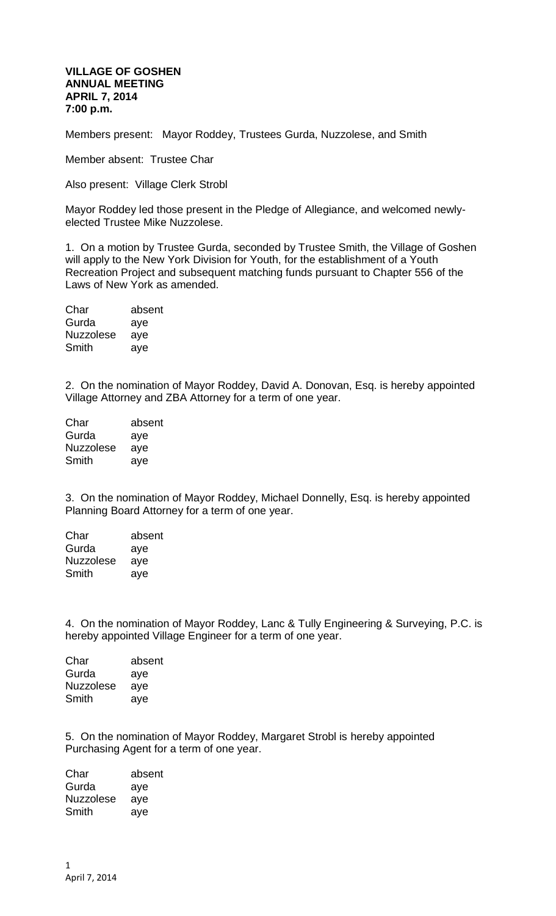## **VILLAGE OF GOSHEN ANNUAL MEETING APRIL 7, 2014 7:00 p.m.**

Members present: Mayor Roddey, Trustees Gurda, Nuzzolese, and Smith

Member absent: Trustee Char

Also present: Village Clerk Strobl

Mayor Roddey led those present in the Pledge of Allegiance, and welcomed newlyelected Trustee Mike Nuzzolese.

1. On a motion by Trustee Gurda, seconded by Trustee Smith, the Village of Goshen will apply to the New York Division for Youth, for the establishment of a Youth Recreation Project and subsequent matching funds pursuant to Chapter 556 of the Laws of New York as amended.

| absent |
|--------|
| aye    |
| aye    |
| aye    |
|        |

2. On the nomination of Mayor Roddey, David A. Donovan, Esq. is hereby appointed Village Attorney and ZBA Attorney for a term of one year.

| absent |
|--------|
| aye    |
| aye    |
| aye    |
|        |

3. On the nomination of Mayor Roddey, Michael Donnelly, Esq. is hereby appointed Planning Board Attorney for a term of one year.

| absent |
|--------|
| aye    |
| aye    |
| aye    |
|        |

4. On the nomination of Mayor Roddey, Lanc & Tully Engineering & Surveying, P.C. is hereby appointed Village Engineer for a term of one year.

| Char             | absent |
|------------------|--------|
| Gurda            | aye    |
| <b>Nuzzolese</b> | aye    |
| Smith            | aye    |

5. On the nomination of Mayor Roddey, Margaret Strobl is hereby appointed Purchasing Agent for a term of one year.

Char absent Gurda aye Nuzzolese aye Smith aye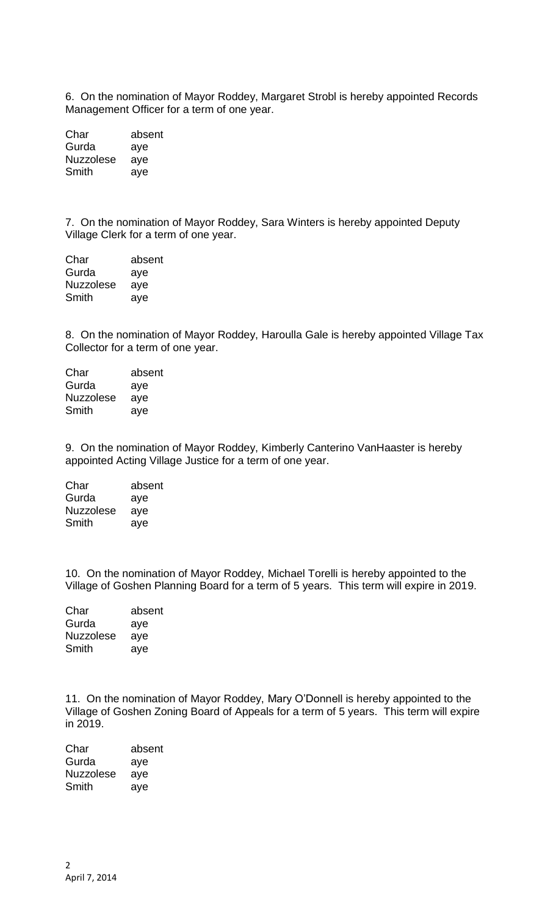6. On the nomination of Mayor Roddey, Margaret Strobl is hereby appointed Records Management Officer for a term of one year.

| Char      | absent |
|-----------|--------|
| Gurda     | aye    |
| Nuzzolese | aye    |
| Smith     | ave    |

7. On the nomination of Mayor Roddey, Sara Winters is hereby appointed Deputy Village Clerk for a term of one year.

| Char             | absent |
|------------------|--------|
| Gurda            | aye    |
| <b>Nuzzolese</b> | ave    |
| Smith            | aye    |

8. On the nomination of Mayor Roddey, Haroulla Gale is hereby appointed Village Tax Collector for a term of one year.

| absent |
|--------|
| aye    |
| aye    |
| aye    |
|        |

9. On the nomination of Mayor Roddey, Kimberly Canterino VanHaaster is hereby appointed Acting Village Justice for a term of one year.

| Char             | absent |
|------------------|--------|
| Gurda            | aye    |
| <b>Nuzzolese</b> | aye    |
| Smith            | aye    |

10. On the nomination of Mayor Roddey, Michael Torelli is hereby appointed to the Village of Goshen Planning Board for a term of 5 years. This term will expire in 2019.

| Char             | absent |
|------------------|--------|
| Gurda            | aye    |
| <b>Nuzzolese</b> | aye    |
| Smith            | aye    |
|                  |        |

11. On the nomination of Mayor Roddey, Mary O'Donnell is hereby appointed to the Village of Goshen Zoning Board of Appeals for a term of 5 years. This term will expire in 2019.

| Char             | absent |
|------------------|--------|
| Gurda            | aye    |
| <b>Nuzzolese</b> | aye    |
| Smith            | ave    |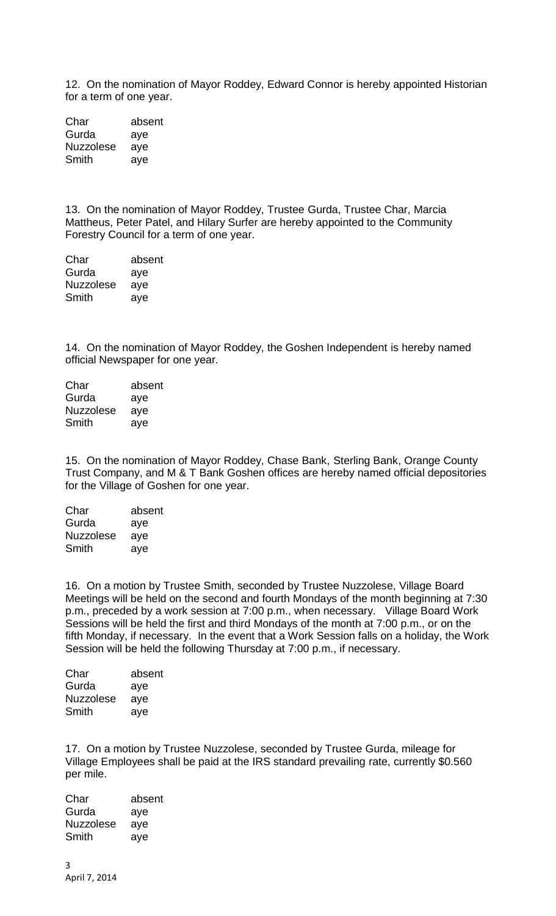12. On the nomination of Mayor Roddey, Edward Connor is hereby appointed Historian for a term of one year.

Char absent Gurda aye Nuzzolese aye Smith aye

13. On the nomination of Mayor Roddey, Trustee Gurda, Trustee Char, Marcia Mattheus, Peter Patel, and Hilary Surfer are hereby appointed to the Community Forestry Council for a term of one year.

Char absent Gurda aye Nuzzolese aye Smith aye

14. On the nomination of Mayor Roddey, the Goshen Independent is hereby named official Newspaper for one year.

| Char             | absent |
|------------------|--------|
| Gurda            | aye    |
| <b>Nuzzolese</b> | aye    |
| Smith            | ave    |

15. On the nomination of Mayor Roddey, Chase Bank, Sterling Bank, Orange County Trust Company, and M & T Bank Goshen offices are hereby named official depositories for the Village of Goshen for one year.

| absent |
|--------|
| aye    |
| aye    |
| aye    |
|        |

16. On a motion by Trustee Smith, seconded by Trustee Nuzzolese, Village Board Meetings will be held on the second and fourth Mondays of the month beginning at 7:30 p.m., preceded by a work session at 7:00 p.m., when necessary. Village Board Work Sessions will be held the first and third Mondays of the month at 7:00 p.m., or on the fifth Monday, if necessary. In the event that a Work Session falls on a holiday, the Work Session will be held the following Thursday at 7:00 p.m., if necessary.

| Char             | absent |
|------------------|--------|
| Gurda            | aye    |
| <b>Nuzzolese</b> | aye    |
| Smith            | aye    |
|                  |        |

17. On a motion by Trustee Nuzzolese, seconded by Trustee Gurda, mileage for Village Employees shall be paid at the IRS standard prevailing rate, currently \$0.560 per mile.

Char absent Gurda aye Nuzzolese aye Smith aye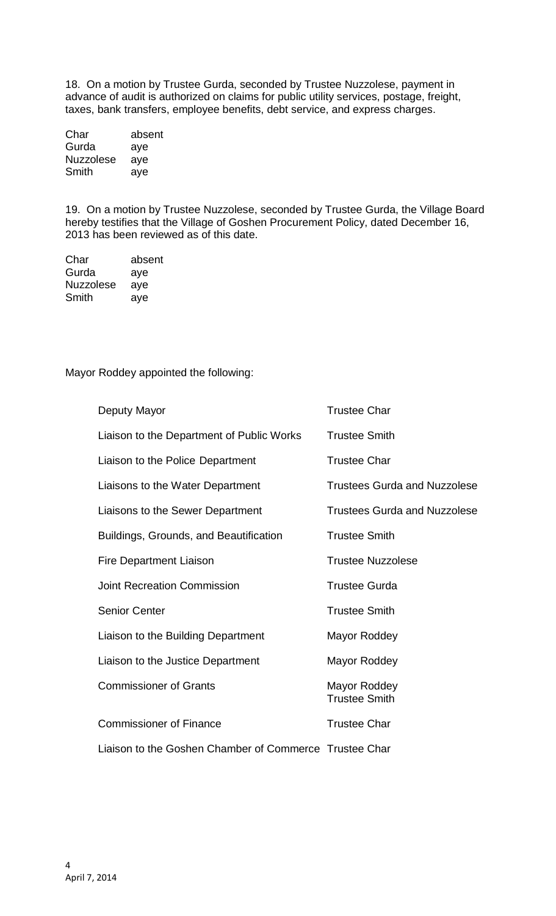18. On a motion by Trustee Gurda, seconded by Trustee Nuzzolese, payment in advance of audit is authorized on claims for public utility services, postage, freight, taxes, bank transfers, employee benefits, debt service, and express charges.

| Char             | absent |
|------------------|--------|
| Gurda            | aye    |
| <b>Nuzzolese</b> | aye    |
| Smith            | ave    |

19. On a motion by Trustee Nuzzolese, seconded by Trustee Gurda, the Village Board hereby testifies that the Village of Goshen Procurement Policy, dated December 16, 2013 has been reviewed as of this date.

| Char             | absent |
|------------------|--------|
| Gurda            | aye    |
| <b>Nuzzolese</b> | aye    |
| Smith            | aye    |

Mayor Roddey appointed the following:

| Deputy Mayor                                           | <b>Trustee Char</b>                  |
|--------------------------------------------------------|--------------------------------------|
| Liaison to the Department of Public Works              | <b>Trustee Smith</b>                 |
| Liaison to the Police Department                       | <b>Trustee Char</b>                  |
| Liaisons to the Water Department                       | <b>Trustees Gurda and Nuzzolese</b>  |
| Liaisons to the Sewer Department                       | <b>Trustees Gurda and Nuzzolese</b>  |
| Buildings, Grounds, and Beautification                 | <b>Trustee Smith</b>                 |
| <b>Fire Department Liaison</b>                         | <b>Trustee Nuzzolese</b>             |
| <b>Joint Recreation Commission</b>                     | <b>Trustee Gurda</b>                 |
| <b>Senior Center</b>                                   | <b>Trustee Smith</b>                 |
| Liaison to the Building Department                     | Mayor Roddey                         |
| Liaison to the Justice Department                      | Mayor Roddey                         |
| <b>Commissioner of Grants</b>                          | Mayor Roddey<br><b>Trustee Smith</b> |
| <b>Commissioner of Finance</b>                         | <b>Trustee Char</b>                  |
| Liaison to the Goshen Chamber of Commerce Trustee Char |                                      |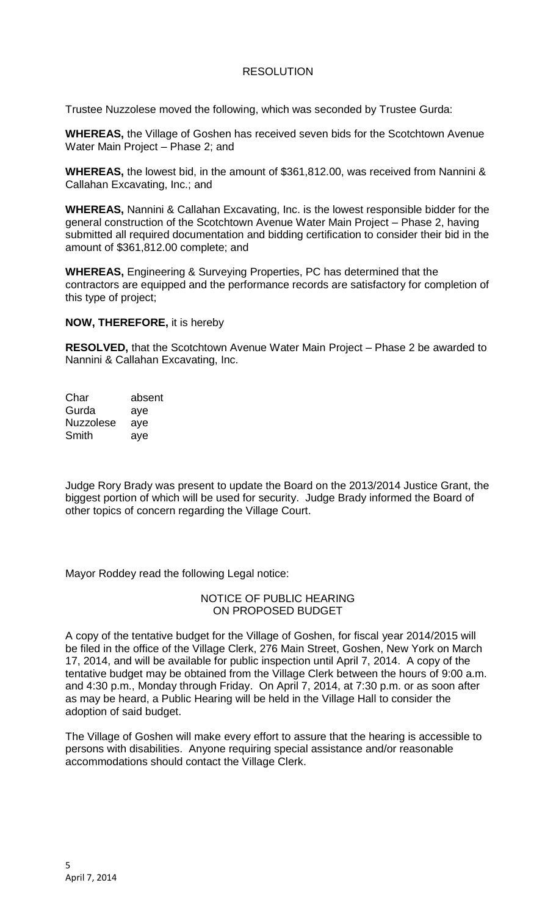## RESOLUTION

Trustee Nuzzolese moved the following, which was seconded by Trustee Gurda:

**WHEREAS,** the Village of Goshen has received seven bids for the Scotchtown Avenue Water Main Project – Phase 2; and

**WHEREAS,** the lowest bid, in the amount of \$361,812.00, was received from Nannini & Callahan Excavating, Inc.; and

**WHEREAS,** Nannini & Callahan Excavating, Inc. is the lowest responsible bidder for the general construction of the Scotchtown Avenue Water Main Project – Phase 2, having submitted all required documentation and bidding certification to consider their bid in the amount of \$361,812.00 complete; and

**WHEREAS,** Engineering & Surveying Properties, PC has determined that the contractors are equipped and the performance records are satisfactory for completion of this type of project;

**NOW, THEREFORE,** it is hereby

**RESOLVED,** that the Scotchtown Avenue Water Main Project – Phase 2 be awarded to Nannini & Callahan Excavating, Inc.

Char absent Gurda aye Nuzzolese aye Smith aye

Judge Rory Brady was present to update the Board on the 2013/2014 Justice Grant, the biggest portion of which will be used for security. Judge Brady informed the Board of other topics of concern regarding the Village Court.

Mayor Roddey read the following Legal notice:

## NOTICE OF PUBLIC HEARING ON PROPOSED BUDGET

A copy of the tentative budget for the Village of Goshen, for fiscal year 2014/2015 will be filed in the office of the Village Clerk, 276 Main Street, Goshen, New York on March 17, 2014, and will be available for public inspection until April 7, 2014. A copy of the tentative budget may be obtained from the Village Clerk between the hours of 9:00 a.m. and 4:30 p.m., Monday through Friday. On April 7, 2014, at 7:30 p.m. or as soon after as may be heard, a Public Hearing will be held in the Village Hall to consider the adoption of said budget.

The Village of Goshen will make every effort to assure that the hearing is accessible to persons with disabilities. Anyone requiring special assistance and/or reasonable accommodations should contact the Village Clerk.